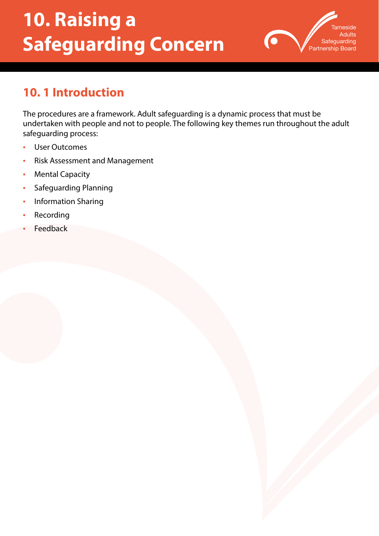# **10. Raising a Safeguarding Concern**



# **10. 1 Introduction**

The procedures are a framework. Adult safeguarding is a dynamic process that must be undertaken with people and not to people. The following key themes run throughout the adult safeguarding process:

- User Outcomes
- Risk Assessment and Management
- **Mental Capacity**
- Safeguarding Planning
- Information Sharing
- **Recording**
- **Feedback**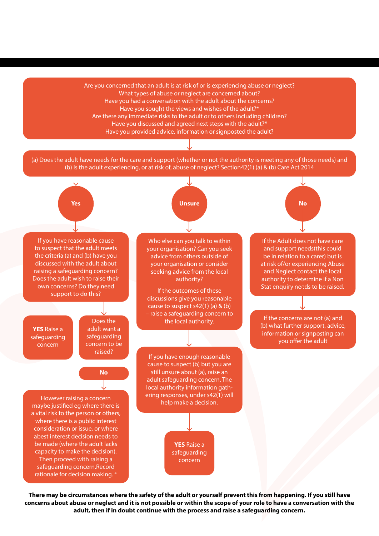Are you concerned that an adult is at risk of or is experiencing abuse or neglect? What types of abuse or neglect are concerned about? Have you had a conversation with the adult about the concerns? Have you sought the views and wishes of the adult?\* Are there any immediate risks to the adult or to others including children? Have you discussed and agreed next steps with the adult?\* Have you provided advice, information or signposted the adult?

(a) Does the adult have needs for the care and support (whether or not the authority is meeting any of those needs) and (b) Is the adult experiencing, or at risk of, abuse of neglect? Section42(1) (a) & (b) Care Act 2014



**There may be circumstances where the safety of the adult or yourself prevent this from happening. If you still have concerns about abuse or neglect and it is not possible or within the scope of your role to have a conversation with the adult, then if in doubt continue with the process and raise a safeguarding concern.**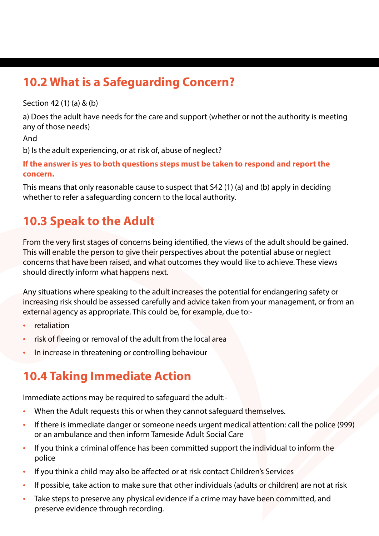# **10.2 What is a Safeguarding Concern?**

Section 42 (1) (a) & (b)

a) Does the adult have needs for the care and support (whether or not the authority is meeting any of those needs)

And

b) Is the adult experiencing, or at risk of, abuse of neglect?

**If the answer is yes to both questions steps must be taken to respond and report the concern.** 

This means that only reasonable cause to suspect that S42 (1) (a) and (b) apply in deciding whether to refer a safeguarding concern to the local authority.

# **10.3 Speak to the Adult**

From the very first stages of concerns being identified, the views of the adult should be gained. This will enable the person to give their perspectives about the potential abuse or neglect concerns that have been raised, and what outcomes they would like to achieve. These views should directly inform what happens next.

Any situations where speaking to the adult increases the potential for endangering safety or increasing risk should be assessed carefully and advice taken from your management, or from an external agency as appropriate. This could be, for example, due to:-

- **retaliation**
- risk of fleeing or removal of the adult from the local area
- In increase in threatening or controlling behaviour

# **10.4 Taking Immediate Action**

Immediate actions may be required to safeguard the adult:-

- When the Adult requests this or when they cannot safeguard themselves.
- If there is immediate danger or someone needs urgent medical attention: call the police (999) or an ambulance and then inform Tameside Adult Social Care
- If you think a criminal offence has been committed support the individual to inform the police
- If you think a child may also be affected or at risk contact Children's Services
- If possible, take action to make sure that other individuals (adults or children) are not at risk
- Take steps to preserve any physical evidence if a crime may have been committed, and preserve evidence through recording.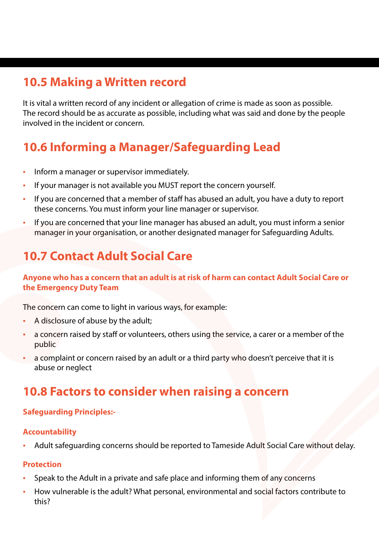# **10.5 Making a Written record**

It is vital a written record of any incident or allegation of crime is made as soon as possible. The record should be as accurate as possible, including what was said and done by the people involved in the incident or concern.

# **10.6 Informing a Manager/Safeguarding Lead**

- Inform a manager or supervisor immediately.
- If your manager is not available you MUST report the concern yourself.
- If you are concerned that a member of staff has abused an adult, you have a duty to report these concerns. You must inform your line manager or supervisor.
- If you are concerned that your line manager has abused an adult, you must inform a senior manager in your organisation, or another designated manager for Safeguarding Adults.

# **10.7 Contact Adult Social Care**

**Anyone who has a concern that an adult is at risk of harm can contact Adult Social Care or the Emergency Duty Team** 

The concern can come to light in various ways, for example:

- A disclosure of abuse by the adult;
- a concern raised by staff or volunteers, others using the service, a carer or a member of the public
- a complaint or concern raised by an adult or a third party who doesn't perceive that it is abuse or neglect

### **10.8 Factors to consider when raising a concern**

### **Safeguarding Principles:-**

### **Accountability**

• Adult safeguarding concerns should be reported to Tameside Adult Social Care without delay.

### **Protection**

- Speak to the Adult in a private and safe place and informing them of any concerns
- How vulnerable is the adult? What personal, environmental and social factors contribute to this?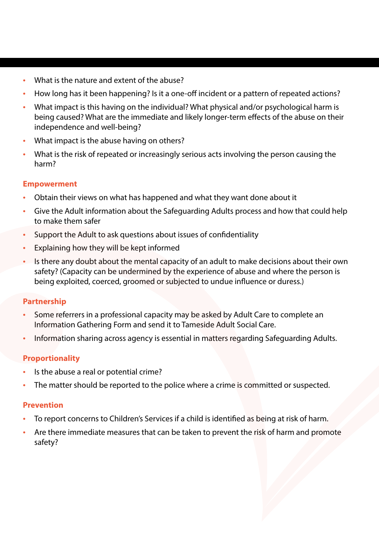- What is the nature and extent of the abuse?
- How long has it been happening? Is it a one-off incident or a pattern of repeated actions?
- What impact is this having on the individual? What physical and/or psychological harm is being caused? What are the immediate and likely longer-term effects of the abuse on their independence and well-being?
- What impact is the abuse having on others?
- What is the risk of repeated or increasingly serious acts involving the person causing the harm?

### **Empowerment**

- Obtain their views on what has happened and what they want done about it
- Give the Adult information about the Safeguarding Adults process and how that could help to make them safer
- Support the Adult to ask questions about issues of confidentiality
- Explaining how they will be kept informed
- Is there any doubt about the mental capacity of an adult to make decisions about their own safety? (Capacity can be undermined by the experience of abuse and where the person is being exploited, coerced, groomed or subjected to undue influence or duress.)

### **Partnership**

- Some referrers in a professional capacity may be asked by Adult Care to complete an Information Gathering Form and send it to Tameside Adult Social Care.
- Information sharing across agency is essential in matters regarding Safeguarding Adults.

### **Proportionality**

- Is the abuse a real or potential crime?
- The matter should be reported to the police where a crime is committed or suspected.

### **Prevention**

- To report concerns to Children's Services if a child is identified as being at risk of harm.
- Are there immediate measures that can be taken to prevent the risk of harm and promote safety?